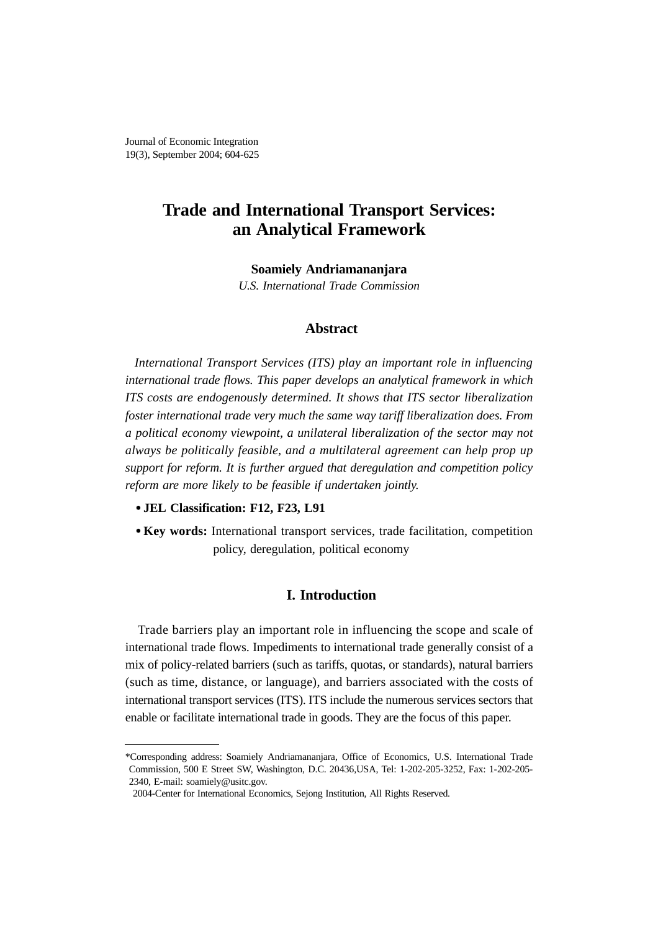Journal of Economic Integration 19(3), September 2004; 604-625

# **Trade and International Transport Services: an Analytical Framework**

**Soamiely Andriamananjara**

*U.S. International Trade Commission*

## **Abstract**

*International Transport Services (ITS) play an important role in influencing international trade flows. This paper develops an analytical framework in which ITS costs are endogenously determined. It shows that ITS sector liberalization foster international trade very much the same way tariff liberalization does. From a political economy viewpoint, a unilateral liberalization of the sector may not always be politically feasible, and a multilateral agreement can help prop up support for reform. It is further argued that deregulation and competition policy reform are more likely to be feasible if undertaken jointly.*

- **JEL Classification: F12, F23, L91**
- **Key words:** International transport services, trade facilitation, competition policy, deregulation, political economy

## **I. Introduction**

Trade barriers play an important role in influencing the scope and scale of international trade flows. Impediments to international trade generally consist of a mix of policy-related barriers (such as tariffs, quotas, or standards), natural barriers (such as time, distance, or language), and barriers associated with the costs of international transport services (ITS). ITS include the numerous services sectors that enable or facilitate international trade in goods. They are the focus of this paper.

<sup>\*</sup>Corresponding address: Soamiely Andriamananjara, Office of Economics, U.S. International Trade Commission, 500 E Street SW, Washington, D.C. 20436,USA, Tel: 1-202-205-3252, Fax: 1-202-205- 2340, E-mail: soamiely@usitc.gov.

<sup>2004-</sup>Center for International Economics, Sejong Institution, All Rights Reserved.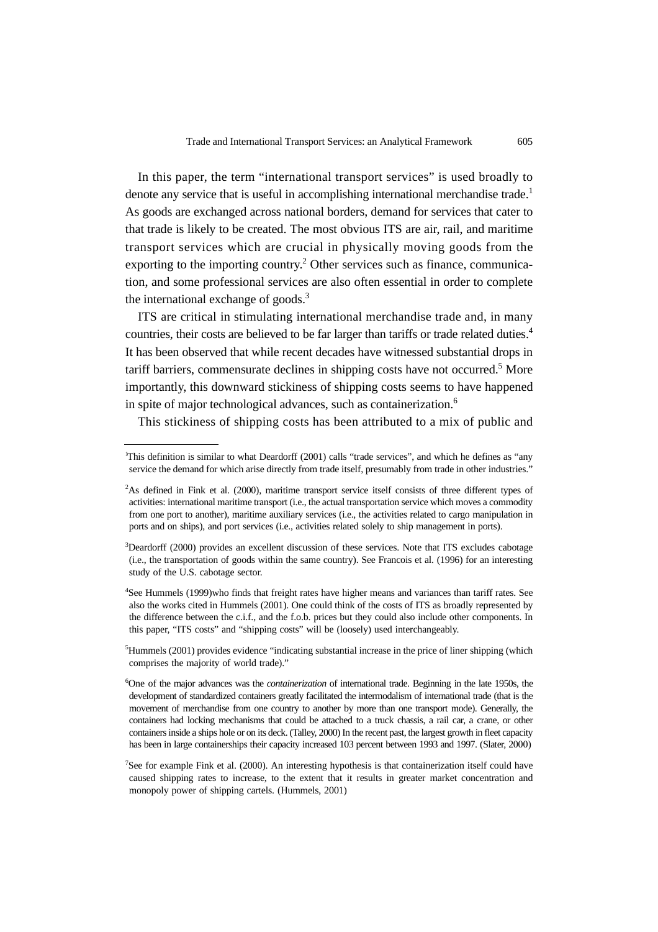In this paper, the term "international transport services" is used broadly to denote any service that is useful in accomplishing international merchandise trade.<sup>1</sup> As goods are exchanged across national borders, demand for services that cater to that trade is likely to be created. The most obvious ITS are air, rail, and maritime transport services which are crucial in physically moving goods from the exporting to the importing country.<sup>2</sup> Other services such as finance, communication, and some professional services are also often essential in order to complete the international exchange of goods.<sup>3</sup>

ITS are critical in stimulating international merchandise trade and, in many countries, their costs are believed to be far larger than tariffs or trade related duties.<sup>4</sup> It has been observed that while recent decades have witnessed substantial drops in tariff barriers, commensurate declines in shipping costs have not occurred.<sup>5</sup> More importantly, this downward stickiness of shipping costs seems to have happened in spite of major technological advances, such as containerization.<sup>6</sup>

This stickiness of shipping costs has been attributed to a mix of public and

<sup>1</sup> This definition is similar to what Deardorff (2001) calls "trade services", and which he defines as "any service the demand for which arise directly from trade itself, presumably from trade in other industries."

<sup>2</sup> As defined in Fink et al. (2000), maritime transport service itself consists of three different types of activities: international maritime transport (i.e., the actual transportation service which moves a commodity from one port to another), maritime auxiliary services (i.e., the activities related to cargo manipulation in ports and on ships), and port services (i.e., activities related solely to ship management in ports).

<sup>3</sup> Deardorff (2000) provides an excellent discussion of these services. Note that ITS excludes cabotage (i.e., the transportation of goods within the same country). See Francois et al. (1996) for an interesting study of the U.S. cabotage sector.

<sup>4</sup> See Hummels (1999)who finds that freight rates have higher means and variances than tariff rates. See also the works cited in Hummels (2001). One could think of the costs of ITS as broadly represented by the difference between the c.i.f., and the f.o.b. prices but they could also include other components. In this paper, "ITS costs" and "shipping costs" will be (loosely) used interchangeably.

<sup>&</sup>lt;sup>5</sup>Hummels (2001) provides evidence "indicating substantial increase in the price of liner shipping (which comprises the majority of world trade)."

<sup>6</sup> One of the major advances was the *containerization* of international trade. Beginning in the late 1950s, the development of standardized containers greatly facilitated the intermodalism of international trade (that is the movement of merchandise from one country to another by more than one transport mode). Generally, the containers had locking mechanisms that could be attached to a truck chassis, a rail car, a crane, or other containers inside a ships hole or on its deck. (Talley, 2000) In the recent past, the largest growth in fleet capacity has been in large containerships their capacity increased 103 percent between 1993 and 1997. (Slater, 2000)

<sup>7</sup> See for example Fink et al. (2000). An interesting hypothesis is that containerization itself could have caused shipping rates to increase, to the extent that it results in greater market concentration and monopoly power of shipping cartels. (Hummels, 2001)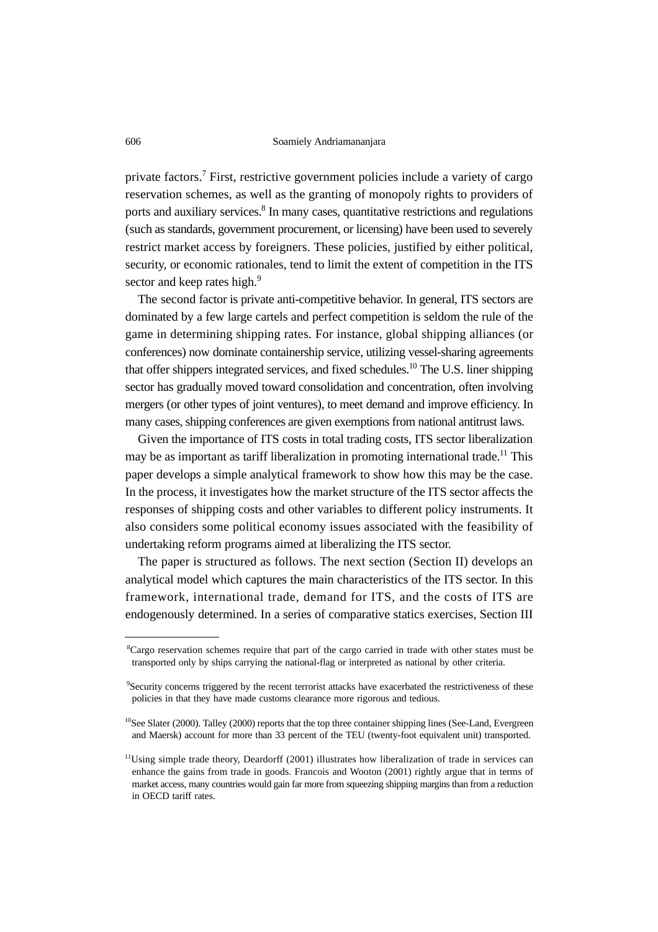private factors.<sup>7</sup> First, restrictive government policies include a variety of cargo reservation schemes, as well as the granting of monopoly rights to providers of ports and auxiliary services.<sup>8</sup> In many cases, quantitative restrictions and regulations (such as standards, government procurement, or licensing) have been used to severely restrict market access by foreigners. These policies, justified by either political, security, or economic rationales, tend to limit the extent of competition in the ITS sector and keep rates high.<sup>9</sup>

The second factor is private anti-competitive behavior. In general, ITS sectors are dominated by a few large cartels and perfect competition is seldom the rule of the game in determining shipping rates. For instance, global shipping alliances (or conferences) now dominate containership service, utilizing vessel-sharing agreements that offer shippers integrated services, and fixed schedules.10 The U.S. liner shipping sector has gradually moved toward consolidation and concentration, often involving mergers (or other types of joint ventures), to meet demand and improve efficiency. In many cases, shipping conferences are given exemptions from national antitrust laws.

Given the importance of ITS costs in total trading costs, ITS sector liberalization may be as important as tariff liberalization in promoting international trade.<sup>11</sup> This paper develops a simple analytical framework to show how this may be the case. In the process, it investigates how the market structure of the ITS sector affects the responses of shipping costs and other variables to different policy instruments. It also considers some political economy issues associated with the feasibility of undertaking reform programs aimed at liberalizing the ITS sector.

The paper is structured as follows. The next section (Section II) develops an analytical model which captures the main characteristics of the ITS sector. In this framework, international trade, demand for ITS, and the costs of ITS are endogenously determined. In a series of comparative statics exercises, Section III

<sup>&</sup>lt;sup>8</sup>Cargo reservation schemes require that part of the cargo carried in trade with other states must be transported only by ships carrying the national-flag or interpreted as national by other criteria.

 <sup>9</sup>Security concerns triggered by the recent terrorist attacks have exacerbated the restrictiveness of these policies in that they have made customs clearance more rigorous and tedious.

<sup>&</sup>lt;sup>10</sup>See Slater (2000). Talley (2000) reports that the top three container shipping lines (See-Land, Evergreen and Maersk) account for more than 33 percent of the TEU (twenty-foot equivalent unit) transported.

<sup>&</sup>lt;sup>11</sup>Using simple trade theory, Deardorff (2001) illustrates how liberalization of trade in services can enhance the gains from trade in goods. Francois and Wooton (2001) rightly argue that in terms of market access, many countries would gain far more from squeezing shipping margins than from a reduction in OECD tariff rates.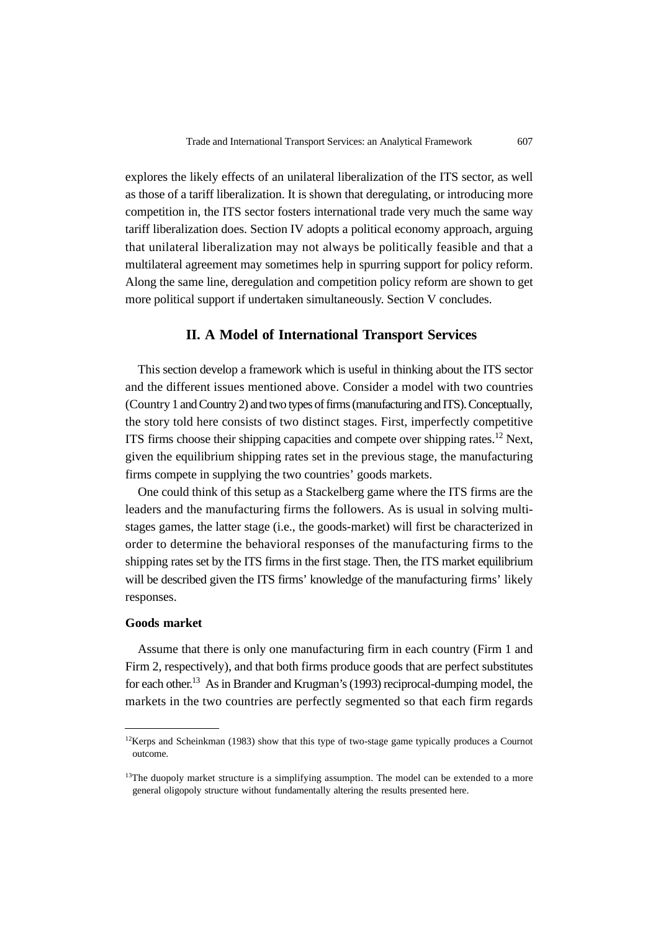explores the likely effects of an unilateral liberalization of the ITS sector, as well as those of a tariff liberalization. It is shown that deregulating, or introducing more competition in, the ITS sector fosters international trade very much the same way tariff liberalization does. Section IV adopts a political economy approach, arguing that unilateral liberalization may not always be politically feasible and that a multilateral agreement may sometimes help in spurring support for policy reform. Along the same line, deregulation and competition policy reform are shown to get more political support if undertaken simultaneously. Section V concludes.

## **II. A Model of International Transport Services**

This section develop a framework which is useful in thinking about the ITS sector and the different issues mentioned above. Consider a model with two countries (Country 1 and Country 2) and two types of firms (manufacturing and ITS). Conceptually, the story told here consists of two distinct stages. First, imperfectly competitive ITS firms choose their shipping capacities and compete over shipping rates.12 Next, given the equilibrium shipping rates set in the previous stage, the manufacturing firms compete in supplying the two countries' goods markets.

One could think of this setup as a Stackelberg game where the ITS firms are the leaders and the manufacturing firms the followers. As is usual in solving multistages games, the latter stage (i.e., the goods-market) will first be characterized in order to determine the behavioral responses of the manufacturing firms to the shipping rates set by the ITS firms in the first stage. Then, the ITS market equilibrium will be described given the ITS firms' knowledge of the manufacturing firms' likely responses.

#### **Goods market**

Assume that there is only one manufacturing firm in each country (Firm 1 and Firm 2, respectively), and that both firms produce goods that are perfect substitutes for each other.<sup>13</sup> As in Brander and Krugman's (1993) reciprocal-dumping model, the markets in the two countries are perfectly segmented so that each firm regards

 $12$ Kerps and Scheinkman (1983) show that this type of two-stage game typically produces a Cournot outcome.

<sup>&</sup>lt;sup>13</sup>The duopoly market structure is a simplifying assumption. The model can be extended to a more general oligopoly structure without fundamentally altering the results presented here.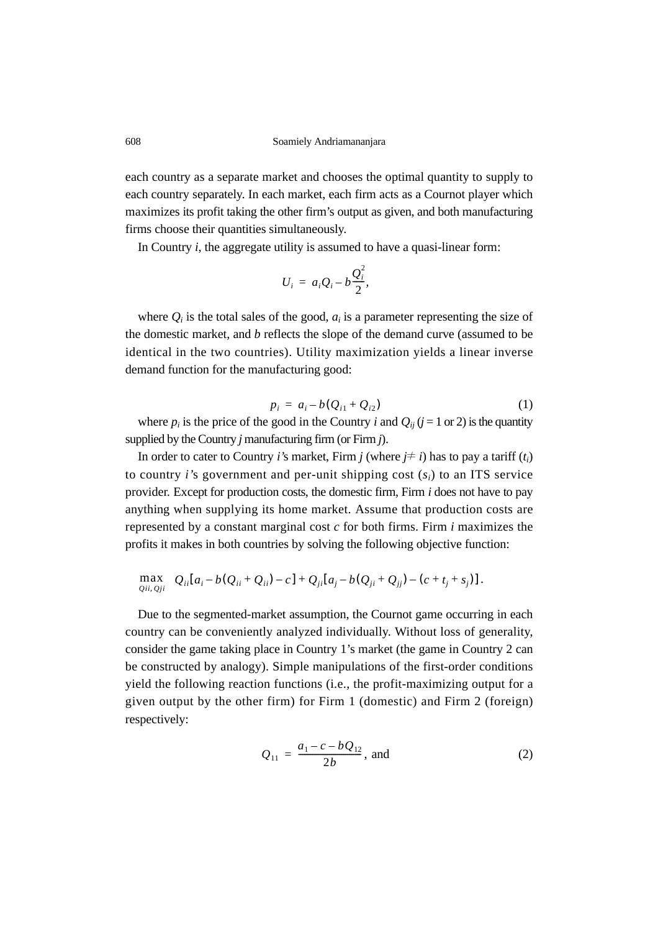each country as a separate market and chooses the optimal quantity to supply to each country separately. In each market, each firm acts as a Cournot player which maximizes its profit taking the other firm's output as given, and both manufacturing firms choose their quantities simultaneously.

In Country *i*, the aggregate utility is assumed to have a quasi-linear form:

$$
U_i = a_i Q_i - b \frac{Q_i^2}{2},
$$

where  $Q_i$  is the total sales of the good,  $a_i$  is a parameter representing the size of the domestic market, and *b* reflects the slope of the demand curve (assumed to be identical in the two countries). Utility maximization yields a linear inverse demand function for the manufacturing good:

$$
p_i = a_i - b(Q_{i1} + Q_{i2})
$$
 (1)

where  $p_i$  is the price of the good in the Country *i* and  $Q_{ii}$  ( $j = 1$  or 2) is the quantity supplied by the Country *j* manufacturing firm (or Firm *j*).

In order to cater to Country *i*'s market, Firm *j* (where  $j \neq i$ ) has to pay a tariff  $(t_i)$ to country *i*'s government and per-unit shipping cost  $(s_i)$  to an ITS service provider. Except for production costs, the domestic firm, Firm *i* does not have to pay anything when supplying its home market. Assume that production costs are represented by a constant marginal cost *c* for both firms. Firm *i* maximizes the profits it makes in both countries by solving the following objective function:

$$
\max_{Qii, Qji} Q_{ii}[a_i - b(Q_{ii} + Q_{ii}) - c] + Q_{ji}[a_j - b(Q_{ji} + Q_{jj}) - (c + t_j + s_j)].
$$

Due to the segmented-market assumption, the Cournot game occurring in each country can be conveniently analyzed individually. Without loss of generality, consider the game taking place in Country 1's market (the game in Country 2 can be constructed by analogy). Simple manipulations of the first-order conditions yield the following reaction functions (i.e., the profit-maximizing output for a given output by the other firm) for Firm 1 (domestic) and Firm 2 (foreign) respectively:

$$
Q_{11} = \frac{a_1 - c - bQ_{12}}{2b}, \text{ and} \tag{2}
$$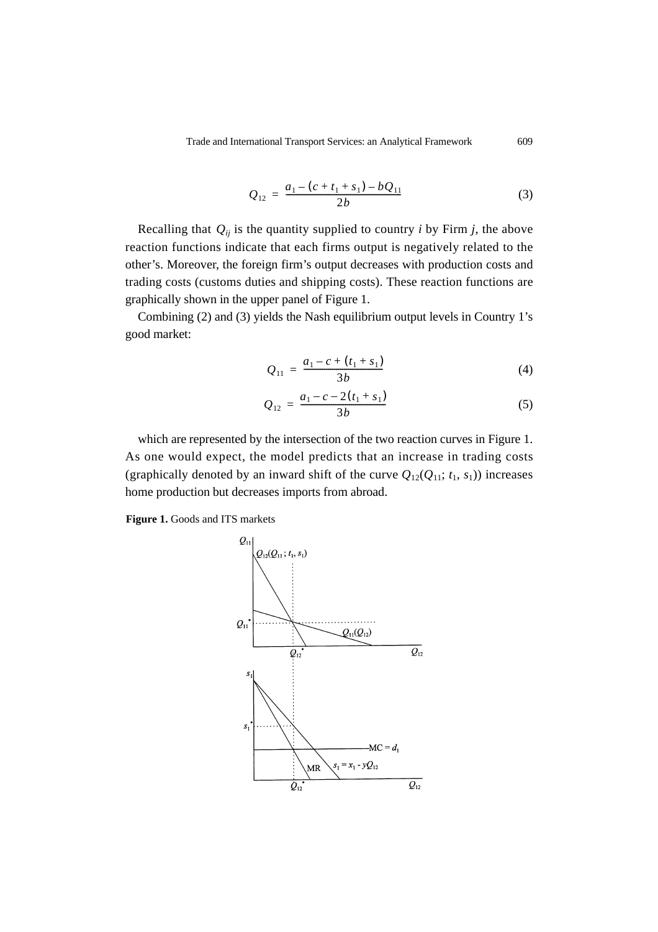$$
Q_{12} = \frac{a_1 - (c + t_1 + s_1) - bQ_{11}}{2b} \tag{3}
$$

Recalling that  $Q_{ij}$  is the quantity supplied to country *i* by Firm *j*, the above reaction functions indicate that each firms output is negatively related to the other's. Moreover, the foreign firm's output decreases with production costs and trading costs (customs duties and shipping costs). These reaction functions are graphically shown in the upper panel of Figure 1.

Combining (2) and (3) yields the Nash equilibrium output levels in Country 1's good market:

$$
Q_{11} = \frac{a_1 - c + (t_1 + s_1)}{3b} \tag{4}
$$

$$
Q_{12} = \frac{a_1 - c - 2(t_1 + s_1)}{3b} \tag{5}
$$

which are represented by the intersection of the two reaction curves in Figure 1. As one would expect, the model predicts that an increase in trading costs (graphically denoted by an inward shift of the curve  $Q_{12}(Q_{11}; t_1, s_1)$ ) increases home production but decreases imports from abroad.

**Figure 1.** Goods and ITS markets

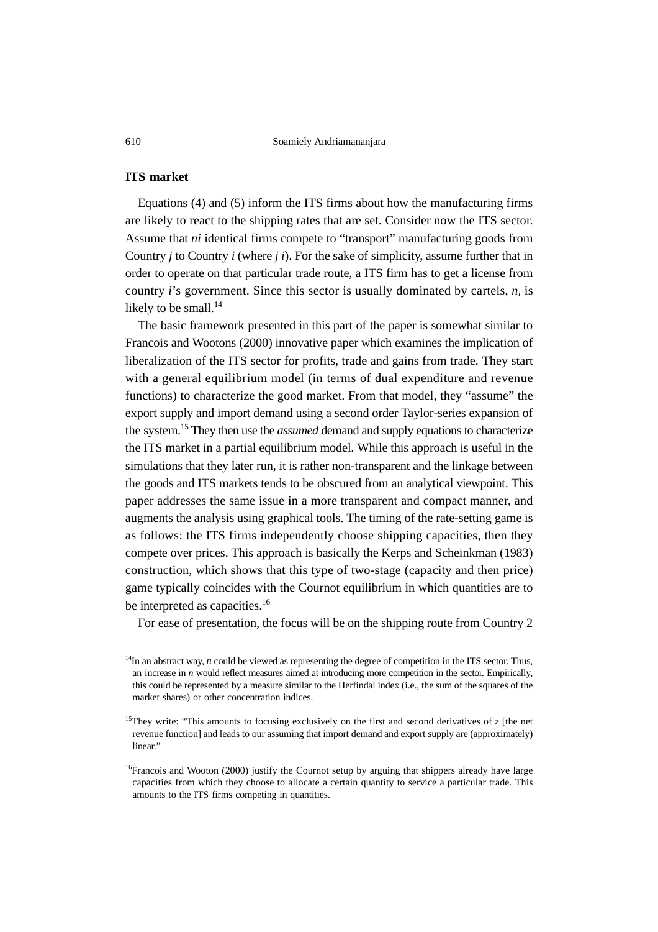#### **ITS market**

Equations (4) and (5) inform the ITS firms about how the manufacturing firms are likely to react to the shipping rates that are set. Consider now the ITS sector. Assume that *ni* identical firms compete to "transport" manufacturing goods from Country *j* to Country *i* (where *j i*). For the sake of simplicity, assume further that in order to operate on that particular trade route, a ITS firm has to get a license from country *i*'s government. Since this sector is usually dominated by cartels,  $n_i$  is likely to be small. $^{14}$ 

The basic framework presented in this part of the paper is somewhat similar to Francois and Wootons (2000) innovative paper which examines the implication of liberalization of the ITS sector for profits, trade and gains from trade. They start with a general equilibrium model (in terms of dual expenditure and revenue functions) to characterize the good market. From that model, they "assume" the export supply and import demand using a second order Taylor-series expansion of the system.15 They then use the *assumed* demand and supply equations to characterize the ITS market in a partial equilibrium model. While this approach is useful in the simulations that they later run, it is rather non-transparent and the linkage between the goods and ITS markets tends to be obscured from an analytical viewpoint. This paper addresses the same issue in a more transparent and compact manner, and augments the analysis using graphical tools. The timing of the rate-setting game is as follows: the ITS firms independently choose shipping capacities, then they compete over prices. This approach is basically the Kerps and Scheinkman (1983) construction, which shows that this type of two-stage (capacity and then price) game typically coincides with the Cournot equilibrium in which quantities are to be interpreted as capacities.<sup>16</sup>

For ease of presentation, the focus will be on the shipping route from Country 2

 $14$ In an abstract way, *n* could be viewed as representing the degree of competition in the ITS sector. Thus, an increase in *n* would reflect measures aimed at introducing more competition in the sector. Empirically, this could be represented by a measure similar to the Herfindal index (i.e., the sum of the squares of the market shares) or other concentration indices.

<sup>15</sup>They write: "This amounts to focusing exclusively on the first and second derivatives of *z* [the net revenue function] and leads to our assuming that import demand and export supply are (approximately) linear."

<sup>&</sup>lt;sup>16</sup>Francois and Wooton (2000) justify the Cournot setup by arguing that shippers already have large capacities from which they choose to allocate a certain quantity to service a particular trade. This amounts to the ITS firms competing in quantities.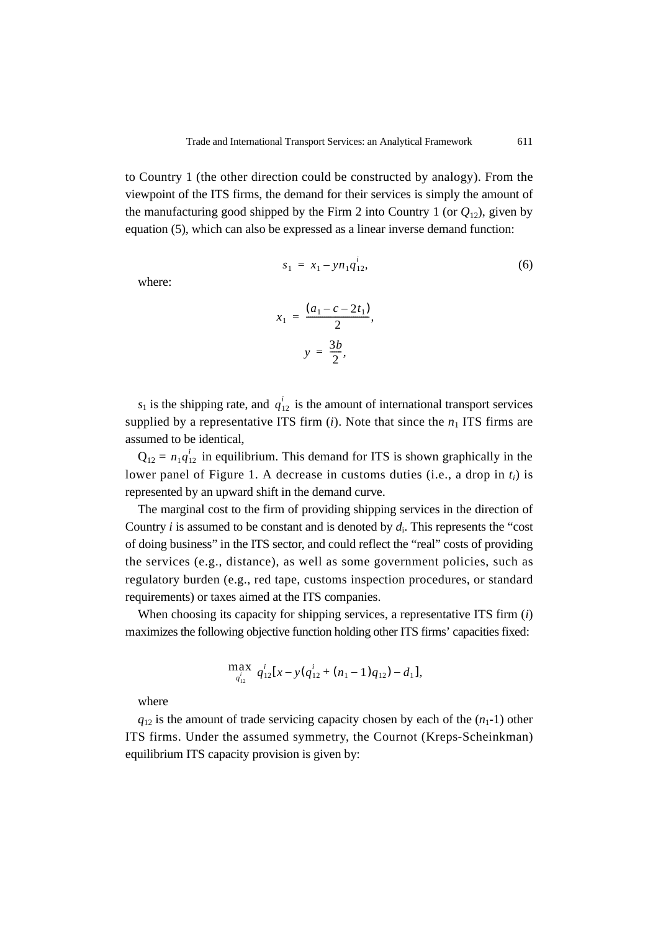to Country 1 (the other direction could be constructed by analogy). From the viewpoint of the ITS firms, the demand for their services is simply the amount of the manufacturing good shipped by the Firm 2 into Country 1 (or  $Q_{12}$ ), given by equation (5), which can also be expressed as a linear inverse demand function:

where:

$$
s_1 = x_1 - y n_1 q_{12}^i, \tag{6}
$$

$$
x_1 = \frac{(a_1 - c - 2t_1)}{2},
$$
  

$$
y = \frac{3b}{2},
$$

 $s_1$  is the shipping rate, and  $q_{12}^i$  is the amount of international transport services supplied by a representative ITS firm  $(i)$ . Note that since the  $n_1$  ITS firms are assumed to be identical,

 $Q_{12} = n_1 q_{12}^i$  in equilibrium. This demand for ITS is shown graphically in the lower panel of Figure 1. A decrease in customs duties (i.e., a drop in *ti*) is represented by an upward shift in the demand curve.

The marginal cost to the firm of providing shipping services in the direction of Country *i* is assumed to be constant and is denoted by *d*i. This represents the "cost of doing business" in the ITS sector, and could reflect the "real" costs of providing the services (e.g., distance), as well as some government policies, such as regulatory burden (e.g., red tape, customs inspection procedures, or standard requirements) or taxes aimed at the ITS companies.

When choosing its capacity for shipping services, a representative ITS firm (*i*) maximizes the following objective function holding other ITS firms' capacities fixed:

$$
\max_{q_{12}^i} q_{12}^i [x-y(q_{12}^i+(n_1-1)q_{12})-d_1],
$$

where

 $q_{12}$  is the amount of trade servicing capacity chosen by each of the  $(n_1-1)$  other ITS firms. Under the assumed symmetry, the Cournot (Kreps-Scheinkman) equilibrium ITS capacity provision is given by: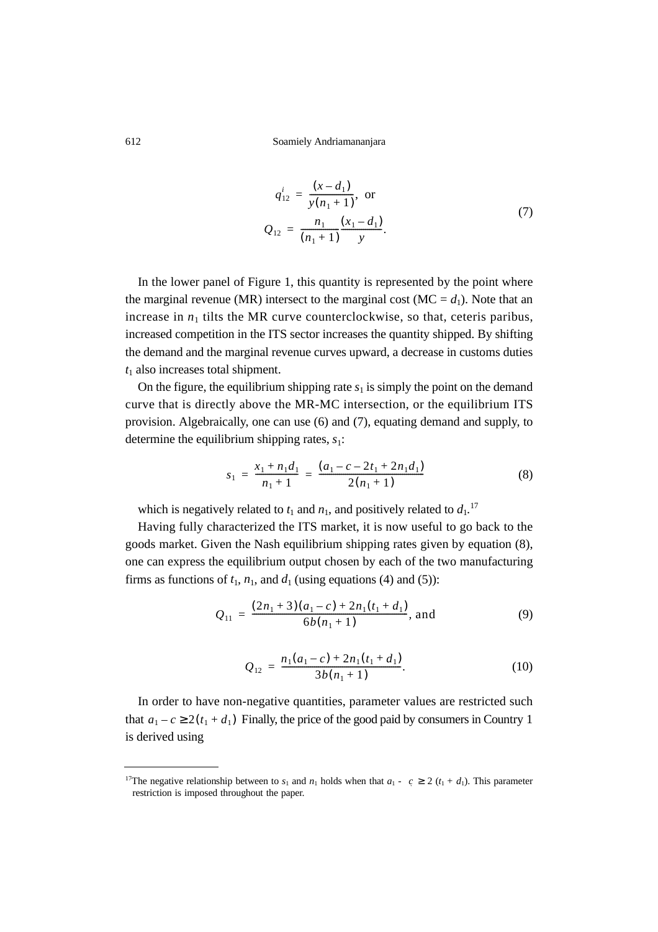$$
q_{12}^{i} = \frac{(x - d_1)}{y(n_1 + 1)}, \text{ or}
$$
  
\n
$$
Q_{12} = \frac{n_1}{(n_1 + 1)} \frac{(x_1 - d_1)}{y}.
$$
\n(7)

In the lower panel of Figure 1, this quantity is represented by the point where the marginal revenue (MR) intersect to the marginal cost (MC  $= d_1$ ). Note that an increase in  $n_1$  tilts the MR curve counterclockwise, so that, ceteris paribus, increased competition in the ITS sector increases the quantity shipped. By shifting the demand and the marginal revenue curves upward, a decrease in customs duties  $t_1$  also increases total shipment.

On the figure, the equilibrium shipping rate  $s_1$  is simply the point on the demand curve that is directly above the MR-MC intersection, or the equilibrium ITS provision. Algebraically, one can use (6) and (7), equating demand and supply, to determine the equilibrium shipping rates, *s*1:

$$
s_1 = \frac{x_1 + n_1 d_1}{n_1 + 1} = \frac{(a_1 - c - 2t_1 + 2n_1 d_1)}{2(n_1 + 1)}
$$
(8)

which is negatively related to  $t_1$  and  $n_1$ , and positively related to  $d_1$ .<sup>17</sup>

Having fully characterized the ITS market, it is now useful to go back to the goods market. Given the Nash equilibrium shipping rates given by equation (8), one can express the equilibrium output chosen by each of the two manufacturing firms as functions of  $t_1$ ,  $n_1$ , and  $d_1$  (using equations (4) and (5)):

$$
Q_{11} = \frac{(2n_1+3)(a_1-c) + 2n_1(t_1+d_1)}{6b(n_1+1)},
$$
 and (9)

$$
Q_{12} = \frac{n_1(a_1 - c) + 2n_1(t_1 + d_1)}{3b(n_1 + 1)}.
$$
 (10)

In order to have non-negative quantities, parameter values are restricted such that  $a_1 - c \ge 2(t_1 + d_1)$  Finally, the price of the good paid by consumers in Country 1 is derived using

<sup>&</sup>lt;sup>17</sup>The negative relationship between to  $s_1$  and  $n_1$  holds when that  $a_1 - c \geq 2$  ( $t_1 + d_1$ ). This parameter restriction is imposed throughout the paper.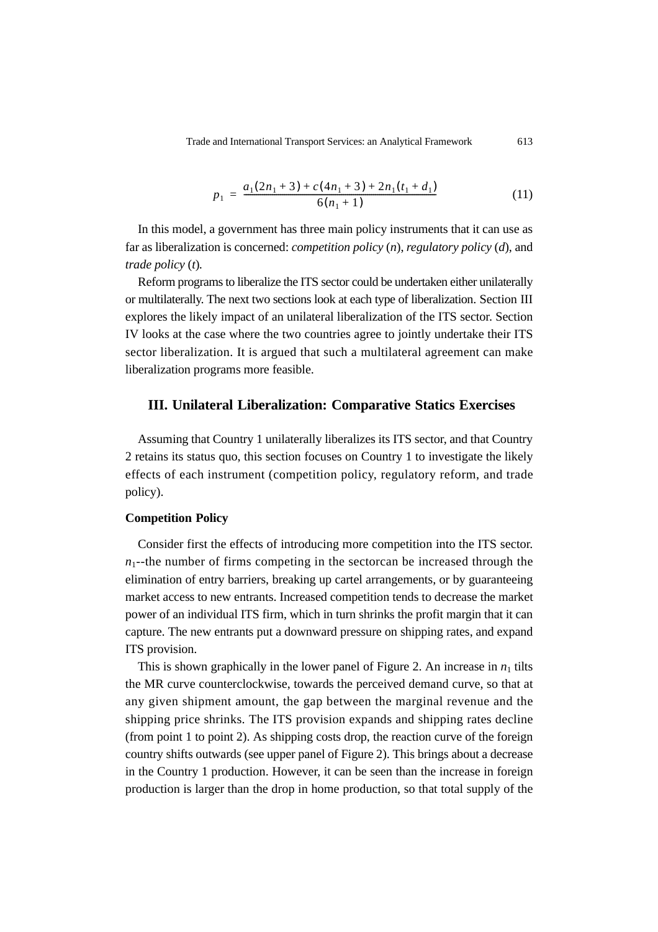$$
p_1 = \frac{a_1(2n_1+3) + c(4n_1+3) + 2n_1(t_1+d_1)}{6(n_1+1)}
$$
(11)

In this model, a government has three main policy instruments that it can use as far as liberalization is concerned: *competition policy* (*n*), *regulatory policy* (*d*), and *trade policy* (*t*)*.*

Reform programs to liberalize the ITS sector could be undertaken either unilaterally or multilaterally. The next two sections look at each type of liberalization. Section III explores the likely impact of an unilateral liberalization of the ITS sector. Section IV looks at the case where the two countries agree to jointly undertake their ITS sector liberalization. It is argued that such a multilateral agreement can make liberalization programs more feasible.

#### **III. Unilateral Liberalization: Comparative Statics Exercises**

Assuming that Country 1 unilaterally liberalizes its ITS sector, and that Country 2 retains its status quo, this section focuses on Country 1 to investigate the likely effects of each instrument (competition policy, regulatory reform, and trade policy).

#### **Competition Policy**

Consider first the effects of introducing more competition into the ITS sector.  $n_1$ --the number of firms competing in the sectorcan be increased through the elimination of entry barriers, breaking up cartel arrangements, or by guaranteeing market access to new entrants. Increased competition tends to decrease the market power of an individual ITS firm, which in turn shrinks the profit margin that it can capture. The new entrants put a downward pressure on shipping rates, and expand ITS provision.

This is shown graphically in the lower panel of Figure 2. An increase in  $n_1$  tilts the MR curve counterclockwise, towards the perceived demand curve, so that at any given shipment amount, the gap between the marginal revenue and the shipping price shrinks. The ITS provision expands and shipping rates decline (from point 1 to point 2). As shipping costs drop, the reaction curve of the foreign country shifts outwards (see upper panel of Figure 2). This brings about a decrease in the Country 1 production. However, it can be seen than the increase in foreign production is larger than the drop in home production, so that total supply of the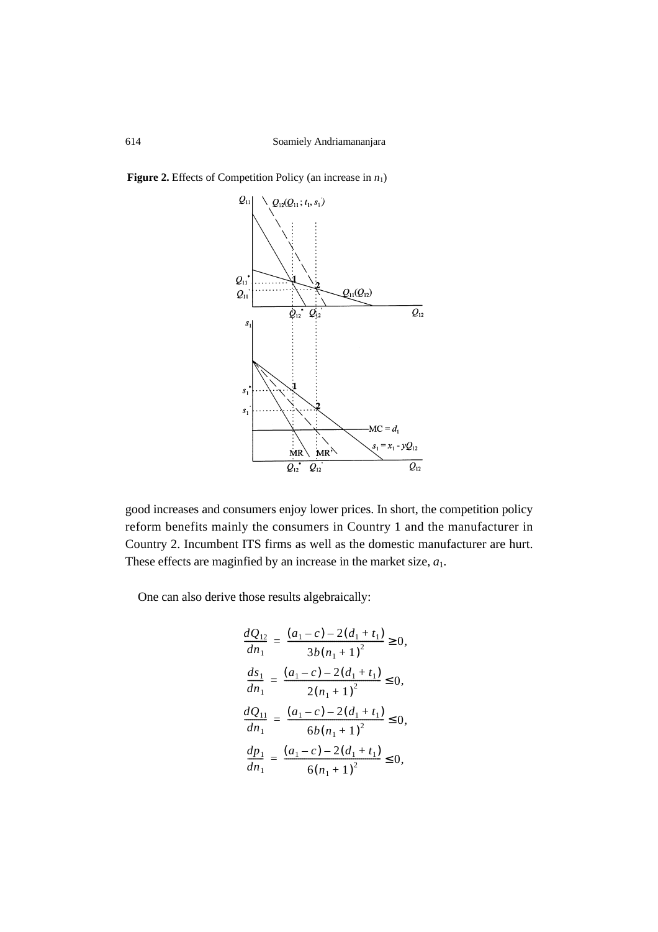



good increases and consumers enjoy lower prices. In short, the competition policy reform benefits mainly the consumers in Country 1 and the manufacturer in Country 2. Incumbent ITS firms as well as the domestic manufacturer are hurt. These effects are maginfied by an increase in the market size, *a*1.

One can also derive those results algebraically:

$$
\frac{dQ_{12}}{dn_1} = \frac{(a_1 - c) - 2(d_1 + t_1)}{3b(n_1 + 1)^2} \ge 0,
$$
  
\n
$$
\frac{ds_1}{dn_1} = \frac{(a_1 - c) - 2(d_1 + t_1)}{2(n_1 + 1)^2} \le 0,
$$
  
\n
$$
\frac{dQ_{11}}{dn_1} = \frac{(a_1 - c) - 2(d_1 + t_1)}{6b(n_1 + 1)^2} \le 0,
$$
  
\n
$$
\frac{dp_1}{dn_1} = \frac{(a_1 - c) - 2(d_1 + t_1)}{6(n_1 + 1)^2} \le 0,
$$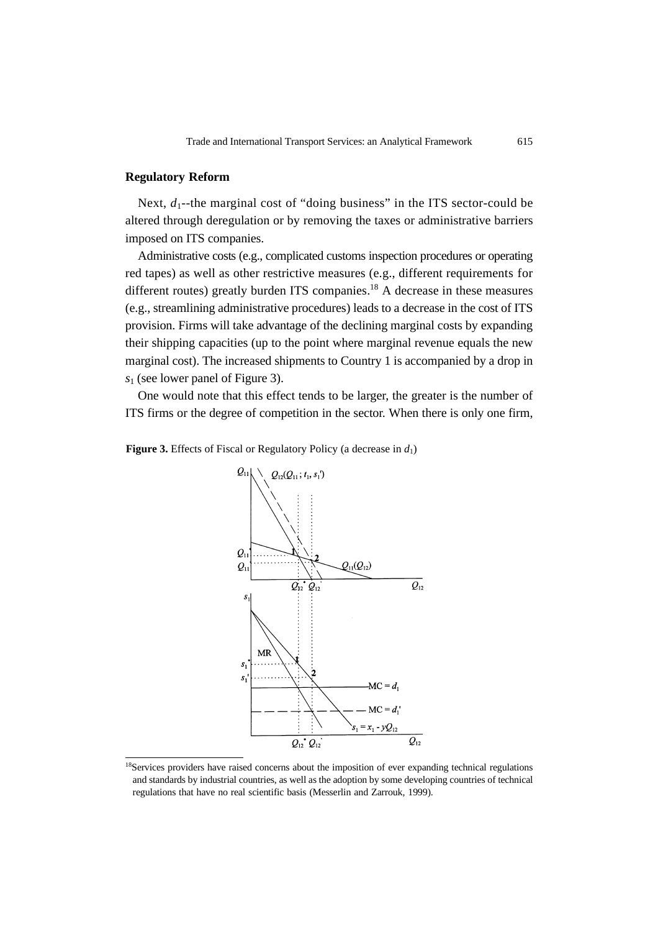#### **Regulatory Reform**

Next,  $d_1$ --the marginal cost of "doing business" in the ITS sector-could be altered through deregulation or by removing the taxes or administrative barriers imposed on ITS companies.

Administrative costs (e.g., complicated customs inspection procedures or operating red tapes) as well as other restrictive measures (e.g., different requirements for different routes) greatly burden ITS companies.<sup>18</sup> A decrease in these measures (e.g., streamlining administrative procedures) leads to a decrease in the cost of ITS provision. Firms will take advantage of the declining marginal costs by expanding their shipping capacities (up to the point where marginal revenue equals the new marginal cost). The increased shipments to Country 1 is accompanied by a drop in *s*1 (see lower panel of Figure 3).

One would note that this effect tends to be larger, the greater is the number of ITS firms or the degree of competition in the sector. When there is only one firm,

**Figure 3.** Effects of Fiscal or Regulatory Policy (a decrease in  $d_1$ )



<sup>&</sup>lt;sup>18</sup>Services providers have raised concerns about the imposition of ever expanding technical regulations and standards by industrial countries, as well as the adoption by some developing countries of technical regulations that have no real scientific basis (Messerlin and Zarrouk, 1999).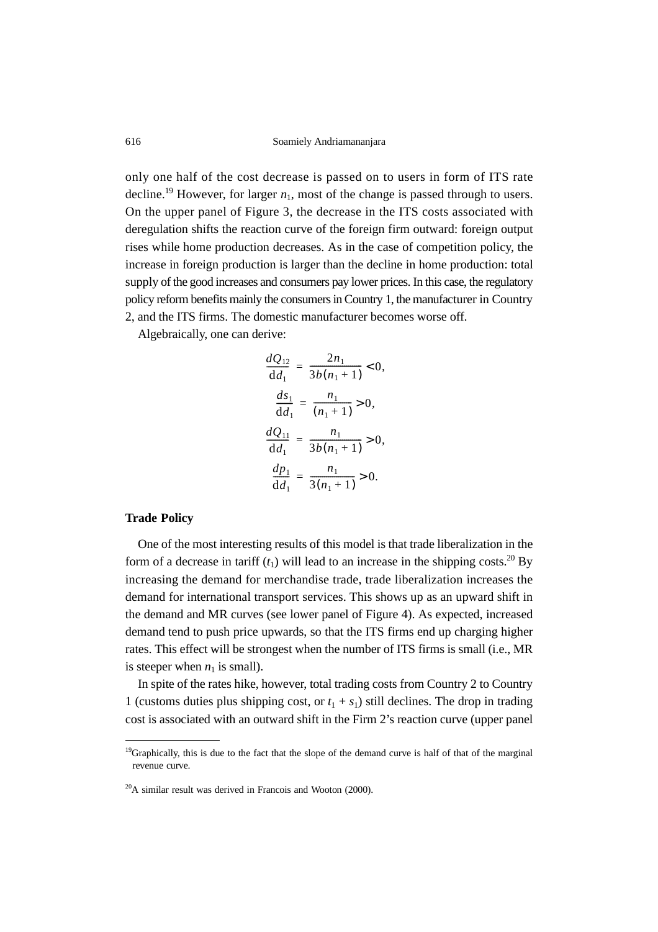only one half of the cost decrease is passed on to users in form of ITS rate decline.<sup>19</sup> However, for larger  $n_1$ , most of the change is passed through to users. On the upper panel of Figure 3, the decrease in the ITS costs associated with deregulation shifts the reaction curve of the foreign firm outward: foreign output rises while home production decreases. As in the case of competition policy, the increase in foreign production is larger than the decline in home production: total supply of the good increases and consumers pay lower prices. In this case, the regulatory policy reform benefits mainly the consumers in Country 1, the manufacturer in Country 2, and the ITS firms. The domestic manufacturer becomes worse off.

Algebraically, one can derive:

$$
\frac{dQ_{12}}{dd_1} = \frac{2n_1}{3b(n_1+1)} < 0,
$$
  

$$
\frac{ds_1}{dd_1} = \frac{n_1}{(n_1+1)} > 0,
$$
  

$$
\frac{dQ_{11}}{dd_1} = \frac{n_1}{3b(n_1+1)} > 0,
$$
  

$$
\frac{dp_1}{dd_1} = \frac{n_1}{3(n_1+1)} > 0.
$$

#### **Trade Policy**

One of the most interesting results of this model is that trade liberalization in the form of a decrease in tariff  $(t_1)$  will lead to an increase in the shipping costs.<sup>20</sup> By increasing the demand for merchandise trade, trade liberalization increases the demand for international transport services. This shows up as an upward shift in the demand and MR curves (see lower panel of Figure 4). As expected, increased demand tend to push price upwards, so that the ITS firms end up charging higher rates. This effect will be strongest when the number of ITS firms is small (i.e., MR is steeper when  $n_1$  is small).

In spite of the rates hike, however, total trading costs from Country 2 to Country 1 (customs duties plus shipping cost, or  $t_1 + s_1$ ) still declines. The drop in trading cost is associated with an outward shift in the Firm 2's reaction curve (upper panel

<sup>&</sup>lt;sup>19</sup>Graphically, this is due to the fact that the slope of the demand curve is half of that of the marginal revenue curve.

 $^{20}$ A similar result was derived in Francois and Wooton (2000).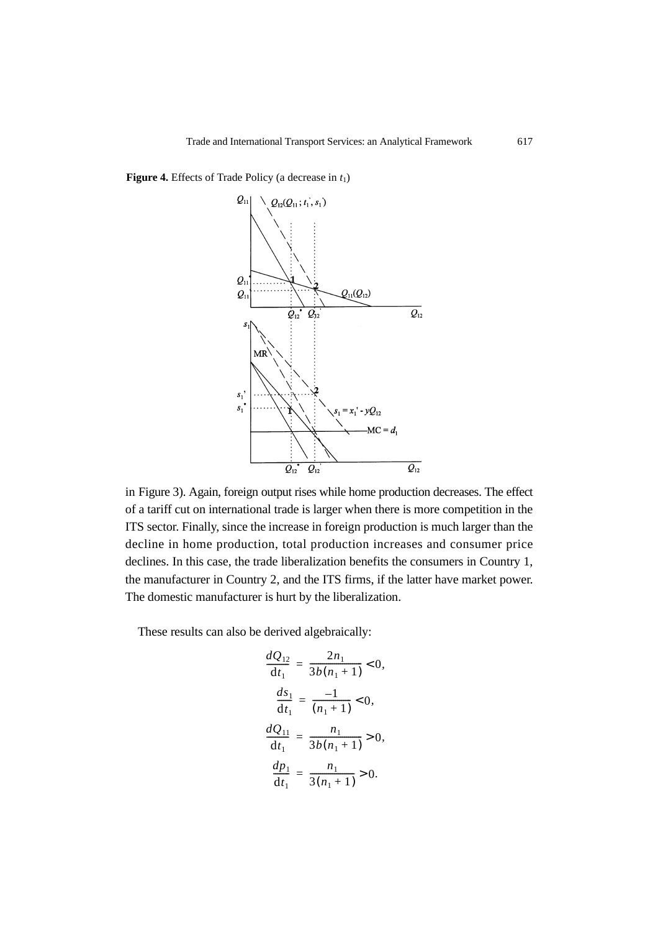**Figure 4.** Effects of Trade Policy (a decrease in  $t_1$ )



in Figure 3). Again, foreign output rises while home production decreases. The effect of a tariff cut on international trade is larger when there is more competition in the ITS sector. Finally, since the increase in foreign production is much larger than the decline in home production, total production increases and consumer price declines. In this case, the trade liberalization benefits the consumers in Country 1, the manufacturer in Country 2, and the ITS firms, if the latter have market power. The domestic manufacturer is hurt by the liberalization.

These results can also be derived algebraically:

$$
\frac{dQ_{12}}{dt_1} = \frac{2n_1}{3b(n_1+1)} < 0,
$$
  

$$
\frac{ds_1}{dt_1} = \frac{-1}{(n_1+1)} < 0,
$$
  

$$
\frac{dQ_{11}}{dt_1} = \frac{n_1}{3b(n_1+1)} > 0,
$$
  

$$
\frac{dp_1}{dt_1} = \frac{n_1}{3(n_1+1)} > 0.
$$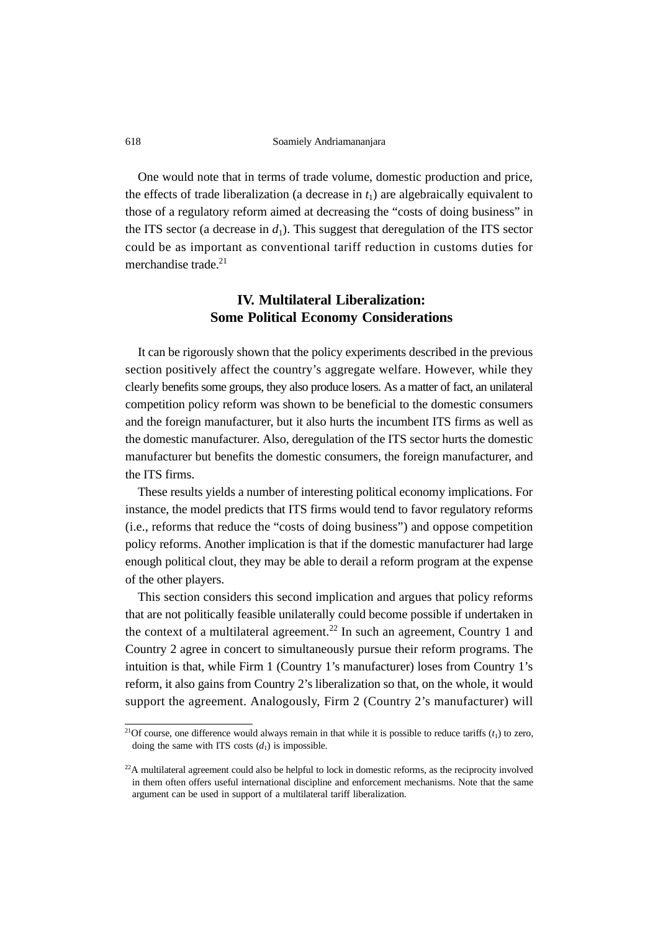One would note that in terms of trade volume, domestic production and price, the effects of trade liberalization (a decrease in  $t_1$ ) are algebraically equivalent to those of a regulatory reform aimed at decreasing the "costs of doing business" in the ITS sector (a decrease in  $d_1$ ). This suggest that deregulation of the ITS sector could be as important as conventional tariff reduction in customs duties for merchandise trade.<sup>21</sup>

## **IV. Multilateral Liberalization: Some Political Economy Considerations**

It can be rigorously shown that the policy experiments described in the previous section positively affect the country's aggregate welfare. However, while they clearly benefits some groups, they also produce losers. As a matter of fact, an unilateral competition policy reform was shown to be beneficial to the domestic consumers and the foreign manufacturer, but it also hurts the incumbent ITS firms as well as the domestic manufacturer. Also, deregulation of the ITS sector hurts the domestic manufacturer but benefits the domestic consumers, the foreign manufacturer, and the ITS firms.

These results yields a number of interesting political economy implications. For instance, the model predicts that ITS firms would tend to favor regulatory reforms (i.e., reforms that reduce the "costs of doing business") and oppose competition policy reforms. Another implication is that if the domestic manufacturer had large enough political clout, they may be able to derail a reform program at the expense of the other players.

This section considers this second implication and argues that policy reforms that are not politically feasible unilaterally could become possible if undertaken in the context of a multilateral agreement.<sup>22</sup> In such an agreement, Country 1 and Country 2 agree in concert to simultaneously pursue their reform programs. The intuition is that, while Firm 1 (Country 1's manufacturer) loses from Country 1's reform, it also gains from Country 2's liberalization so that, on the whole, it would support the agreement. Analogously, Firm 2 (Country 2's manufacturer) will

<sup>&</sup>lt;sup>21</sup>Of course, one difference would always remain in that while it is possible to reduce tariffs  $(t_1)$  to zero, doing the same with ITS costs  $(d_1)$  is impossible.

 $^{22}$ A multilateral agreement could also be helpful to lock in domestic reforms, as the reciprocity involved in them often offers useful international discipline and enforcement mechanisms. Note that the same argument can be used in support of a multilateral tariff liberalization.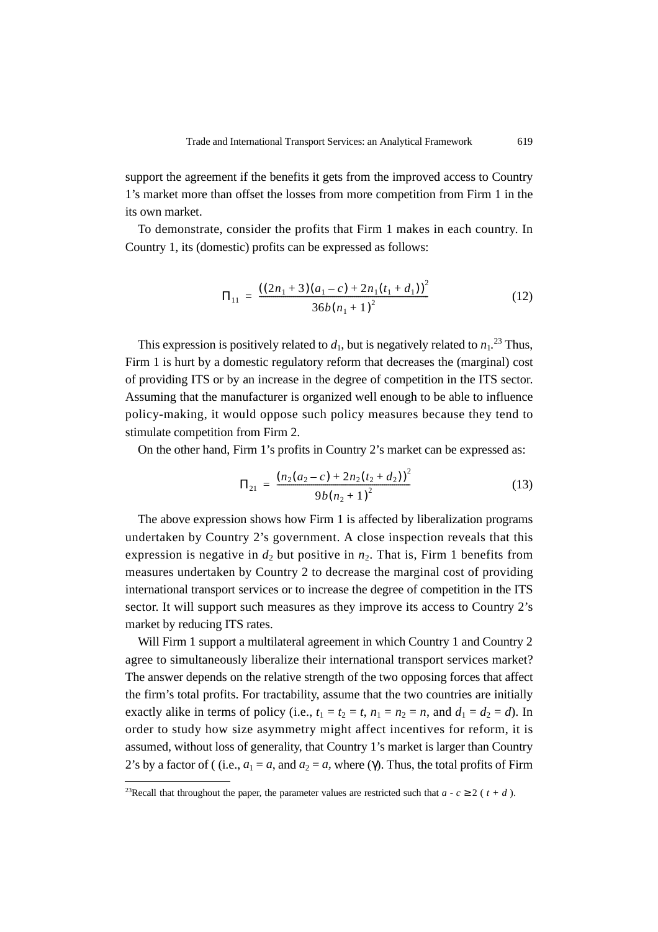support the agreement if the benefits it gets from the improved access to Country 1's market more than offset the losses from more competition from Firm 1 in the its own market.

To demonstrate, consider the profits that Firm 1 makes in each country. In Country 1, its (domestic) profits can be expressed as follows:

$$
\Pi_{11} = \frac{((2n_1 + 3)(a_1 - c) + 2n_1(t_1 + d_1))^2}{36b(n_1 + 1)^2}
$$
\n(12)

This expression is positively related to  $d_1$ , but is negatively related to  $n_1$ <sup>23</sup> Thus, Firm 1 is hurt by a domestic regulatory reform that decreases the (marginal) cost of providing ITS or by an increase in the degree of competition in the ITS sector. Assuming that the manufacturer is organized well enough to be able to influence policy-making, it would oppose such policy measures because they tend to stimulate competition from Firm 2.

On the other hand, Firm 1's profits in Country 2's market can be expressed as:

$$
\Pi_{21} = \frac{(n_2(a_2 - c) + 2n_2(t_2 + d_2))^2}{9b(n_2 + 1)^2}
$$
\n(13)

The above expression shows how Firm 1 is affected by liberalization programs undertaken by Country 2's government. A close inspection reveals that this expression is negative in  $d_2$  but positive in  $n_2$ . That is, Firm 1 benefits from measures undertaken by Country 2 to decrease the marginal cost of providing international transport services or to increase the degree of competition in the ITS sector. It will support such measures as they improve its access to Country 2's market by reducing ITS rates.

Will Firm 1 support a multilateral agreement in which Country 1 and Country 2 agree to simultaneously liberalize their international transport services market? The answer depends on the relative strength of the two opposing forces that affect the firm's total profits. For tractability, assume that the two countries are initially exactly alike in terms of policy (i.e.,  $t_1 = t_2 = t$ ,  $n_1 = n_2 = n$ , and  $d_1 = d_2 = d$ ). In order to study how size asymmetry might affect incentives for reform, it is assumed, without loss of generality, that Country 1's market is larger than Country 2's by a factor of ( (i.e.,  $a_1 = a$ , and  $a_2 = a$ , where ( $\gamma$ ). Thus, the total profits of Firm

<sup>&</sup>lt;sup>23</sup>Recall that throughout the paper, the parameter values are restricted such that  $a - c \ge 2$  ( $t + d$ ).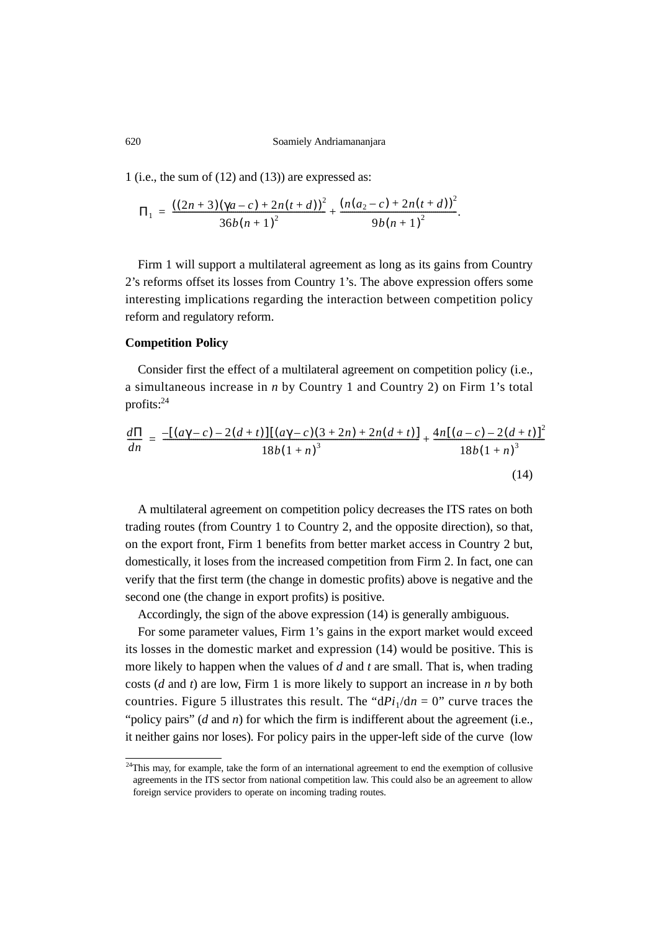1 (i.e., the sum of (12) and (13)) are expressed as:

$$
\Pi_1 = \frac{((2n+3)(\gamma a - c) + 2n(t+d))^2}{36b(n+1)^2} + \frac{(n(a_2 - c) + 2n(t+d))^2}{9b(n+1)^2}.
$$

Firm 1 will support a multilateral agreement as long as its gains from Country 2's reforms offset its losses from Country 1's. The above expression offers some interesting implications regarding the interaction between competition policy reform and regulatory reform.

#### **Competition Policy**

Consider first the effect of a multilateral agreement on competition policy (i.e., a simultaneous increase in *n* by Country 1 and Country 2) on Firm 1's total profits:24

$$
\frac{d\Pi}{dn} = \frac{-[(a\gamma - c) - 2(d+t)][(a\gamma - c)(3 + 2n) + 2n(d+t)]}{18b(1+n)^3} + \frac{4n[(a-c) - 2(d+t)]^2}{18b(1+n)^3}
$$
\n(14)

A multilateral agreement on competition policy decreases the ITS rates on both trading routes (from Country 1 to Country 2, and the opposite direction), so that, on the export front, Firm 1 benefits from better market access in Country 2 but, domestically, it loses from the increased competition from Firm 2. In fact, one can verify that the first term (the change in domestic profits) above is negative and the second one (the change in export profits) is positive.

Accordingly, the sign of the above expression (14) is generally ambiguous.

For some parameter values, Firm 1's gains in the export market would exceed its losses in the domestic market and expression (14) would be positive. This is more likely to happen when the values of *d* and *t* are small. That is, when trading costs (*d* and *t*) are low, Firm 1 is more likely to support an increase in *n* by both countries. Figure 5 illustrates this result. The " $dP_i/dn = 0$ " curve traces the "policy pairs" (*d* and *n*) for which the firm is indifferent about the agreement (i.e., it neither gains nor loses). For policy pairs in the upper-left side of the curve (low

<sup>&</sup>lt;sup>24</sup>This may, for example, take the form of an international agreement to end the exemption of collusive agreements in the ITS sector from national competition law. This could also be an agreement to allow foreign service providers to operate on incoming trading routes.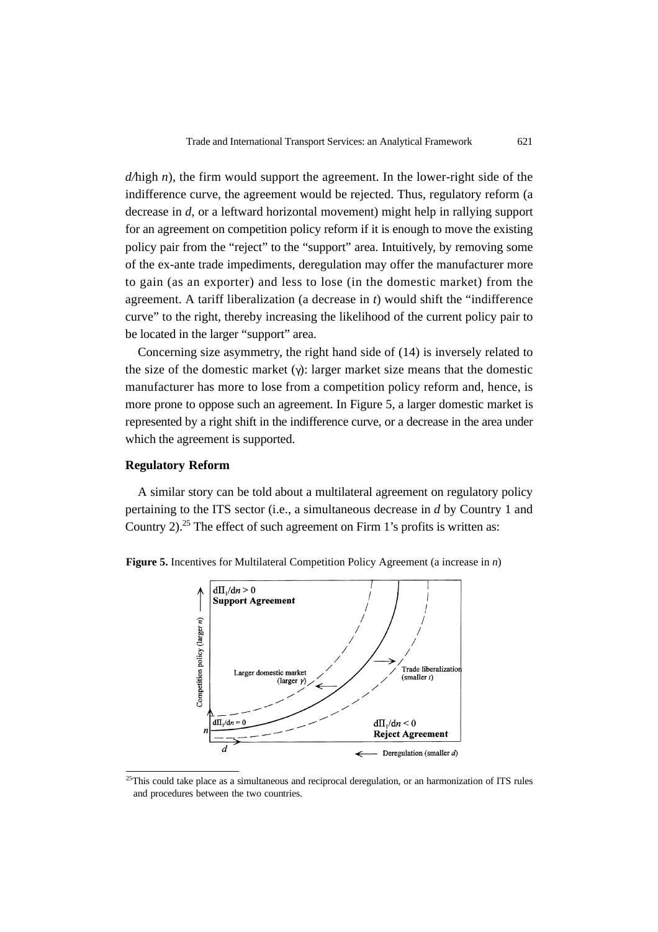*d/*high *n*), the firm would support the agreement. In the lower-right side of the indifference curve, the agreement would be rejected. Thus, regulatory reform (a decrease in *d*, or a leftward horizontal movement) might help in rallying support for an agreement on competition policy reform if it is enough to move the existing policy pair from the "reject" to the "support" area. Intuitively, by removing some of the ex-ante trade impediments, deregulation may offer the manufacturer more to gain (as an exporter) and less to lose (in the domestic market) from the agreement. A tariff liberalization (a decrease in *t*) would shift the "indifference curve" to the right, thereby increasing the likelihood of the current policy pair to be located in the larger "support" area.

Concerning size asymmetry, the right hand side of (14) is inversely related to the size of the domestic market ( $\gamma$ ): larger market size means that the domestic manufacturer has more to lose from a competition policy reform and, hence, is more prone to oppose such an agreement. In Figure 5, a larger domestic market is represented by a right shift in the indifference curve, or a decrease in the area under which the agreement is supported.

#### **Regulatory Reform**

A similar story can be told about a multilateral agreement on regulatory policy pertaining to the ITS sector (i.e., a simultaneous decrease in *d* by Country 1 and Country 2).<sup>25</sup> The effect of such agreement on Firm 1's profits is written as:



**Figure 5.** Incentives for Multilateral Competition Policy Agreement (a increase in *n*)

<sup>&</sup>lt;sup>25</sup>This could take place as a simultaneous and reciprocal deregulation, or an harmonization of ITS rules and procedures between the two countries.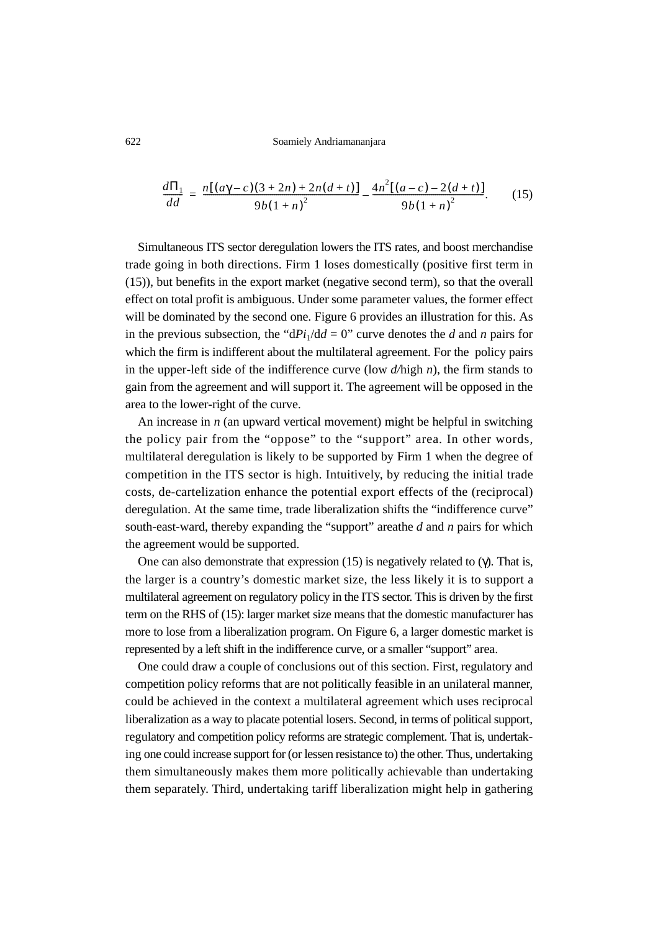$$
\frac{d\Pi_1}{dd} = \frac{n[(a\gamma - c)(3 + 2n) + 2n(d + t)]}{9b(1 + n)^2} - \frac{4n^2[(a - c) - 2(d + t)]}{9b(1 + n)^2}.
$$
 (15)

Simultaneous ITS sector deregulation lowers the ITS rates, and boost merchandise trade going in both directions. Firm 1 loses domestically (positive first term in (15)), but benefits in the export market (negative second term), so that the overall effect on total profit is ambiguous. Under some parameter values, the former effect will be dominated by the second one. Figure 6 provides an illustration for this. As in the previous subsection, the " $dP_i/dd = 0$ " curve denotes the *d* and *n* pairs for which the firm is indifferent about the multilateral agreement. For the policy pairs in the upper-left side of the indifference curve (low *d/*high *n*), the firm stands to gain from the agreement and will support it. The agreement will be opposed in the area to the lower-right of the curve.

An increase in *n* (an upward vertical movement) might be helpful in switching the policy pair from the "oppose" to the "support" area. In other words, multilateral deregulation is likely to be supported by Firm 1 when the degree of competition in the ITS sector is high. Intuitively, by reducing the initial trade costs, de-cartelization enhance the potential export effects of the (reciprocal) deregulation. At the same time, trade liberalization shifts the "indifference curve" south-east-ward, thereby expanding the "support" areathe *d* and *n* pairs for which the agreement would be supported.

One can also demonstrate that expression (15) is negatively related to (γ). That is, the larger is a country's domestic market size, the less likely it is to support a multilateral agreement on regulatory policy in the ITS sector. This is driven by the first term on the RHS of (15): larger market size means that the domestic manufacturer has more to lose from a liberalization program. On Figure 6, a larger domestic market is represented by a left shift in the indifference curve, or a smaller "support" area.

One could draw a couple of conclusions out of this section. First, regulatory and competition policy reforms that are not politically feasible in an unilateral manner, could be achieved in the context a multilateral agreement which uses reciprocal liberalization as a way to placate potential losers. Second, in terms of political support, regulatory and competition policy reforms are strategic complement. That is, undertaking one could increase support for (or lessen resistance to) the other. Thus, undertaking them simultaneously makes them more politically achievable than undertaking them separately. Third, undertaking tariff liberalization might help in gathering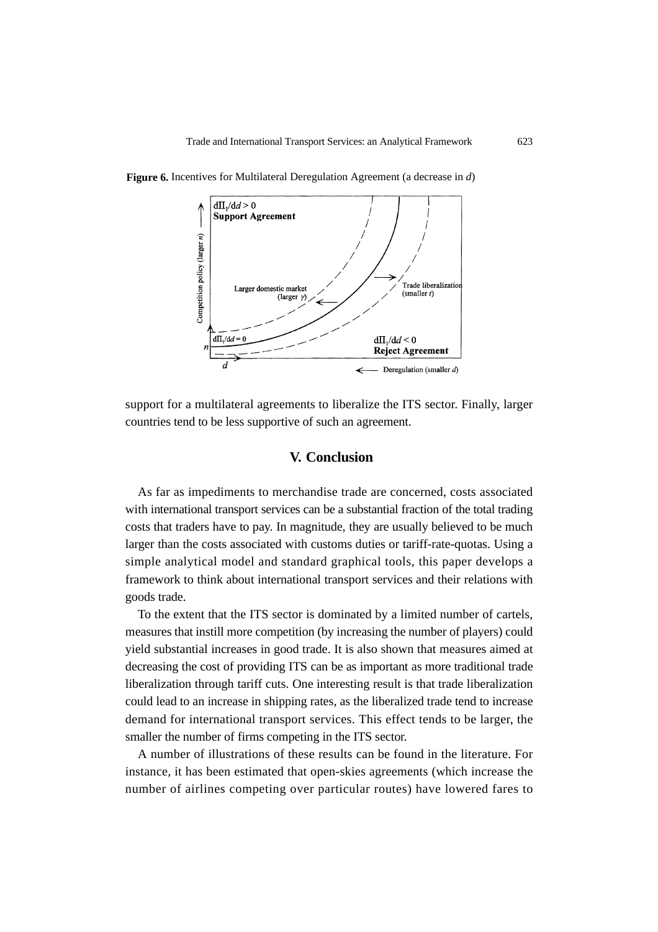

**Figure 6.** Incentives for Multilateral Deregulation Agreement (a decrease in *d*)

support for a multilateral agreements to liberalize the ITS sector. Finally, larger countries tend to be less supportive of such an agreement.

### **V. Conclusion**

As far as impediments to merchandise trade are concerned, costs associated with international transport services can be a substantial fraction of the total trading costs that traders have to pay. In magnitude, they are usually believed to be much larger than the costs associated with customs duties or tariff-rate-quotas. Using a simple analytical model and standard graphical tools, this paper develops a framework to think about international transport services and their relations with goods trade.

To the extent that the ITS sector is dominated by a limited number of cartels, measures that instill more competition (by increasing the number of players) could yield substantial increases in good trade. It is also shown that measures aimed at decreasing the cost of providing ITS can be as important as more traditional trade liberalization through tariff cuts. One interesting result is that trade liberalization could lead to an increase in shipping rates, as the liberalized trade tend to increase demand for international transport services. This effect tends to be larger, the smaller the number of firms competing in the ITS sector.

A number of illustrations of these results can be found in the literature. For instance, it has been estimated that open-skies agreements (which increase the number of airlines competing over particular routes) have lowered fares to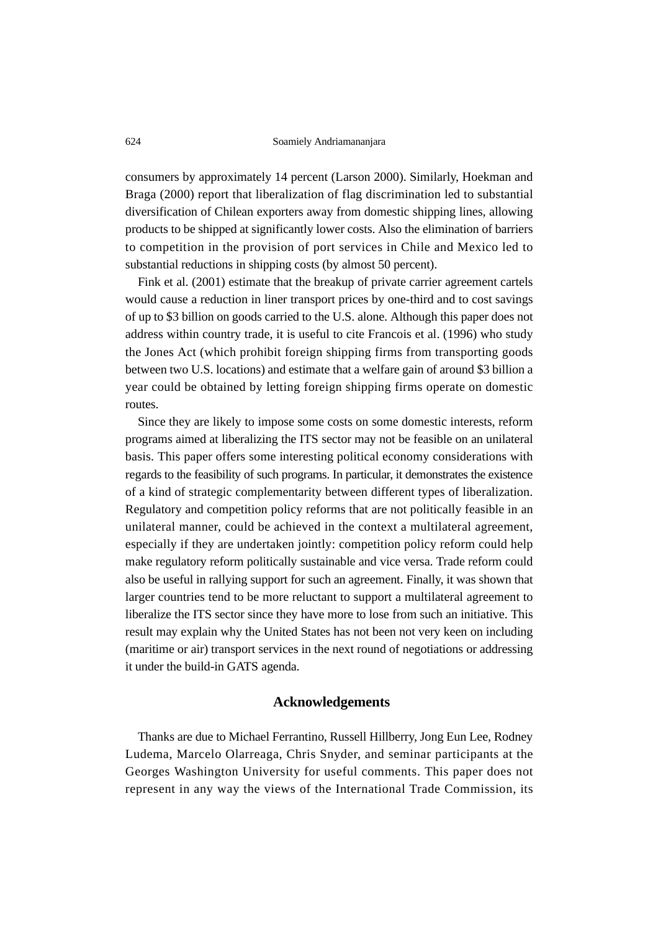consumers by approximately 14 percent (Larson 2000). Similarly, Hoekman and Braga (2000) report that liberalization of flag discrimination led to substantial diversification of Chilean exporters away from domestic shipping lines, allowing products to be shipped at significantly lower costs. Also the elimination of barriers to competition in the provision of port services in Chile and Mexico led to substantial reductions in shipping costs (by almost 50 percent).

Fink et al. (2001) estimate that the breakup of private carrier agreement cartels would cause a reduction in liner transport prices by one-third and to cost savings of up to \$3 billion on goods carried to the U.S. alone. Although this paper does not address within country trade, it is useful to cite Francois et al. (1996) who study the Jones Act (which prohibit foreign shipping firms from transporting goods between two U.S. locations) and estimate that a welfare gain of around \$3 billion a year could be obtained by letting foreign shipping firms operate on domestic routes.

Since they are likely to impose some costs on some domestic interests, reform programs aimed at liberalizing the ITS sector may not be feasible on an unilateral basis. This paper offers some interesting political economy considerations with regards to the feasibility of such programs. In particular, it demonstrates the existence of a kind of strategic complementarity between different types of liberalization. Regulatory and competition policy reforms that are not politically feasible in an unilateral manner, could be achieved in the context a multilateral agreement, especially if they are undertaken jointly: competition policy reform could help make regulatory reform politically sustainable and vice versa. Trade reform could also be useful in rallying support for such an agreement. Finally, it was shown that larger countries tend to be more reluctant to support a multilateral agreement to liberalize the ITS sector since they have more to lose from such an initiative. This result may explain why the United States has not been not very keen on including (maritime or air) transport services in the next round of negotiations or addressing it under the build-in GATS agenda.

#### **Acknowledgements**

Thanks are due to Michael Ferrantino, Russell Hillberry, Jong Eun Lee, Rodney Ludema, Marcelo Olarreaga, Chris Snyder, and seminar participants at the Georges Washington University for useful comments. This paper does not represent in any way the views of the International Trade Commission, its